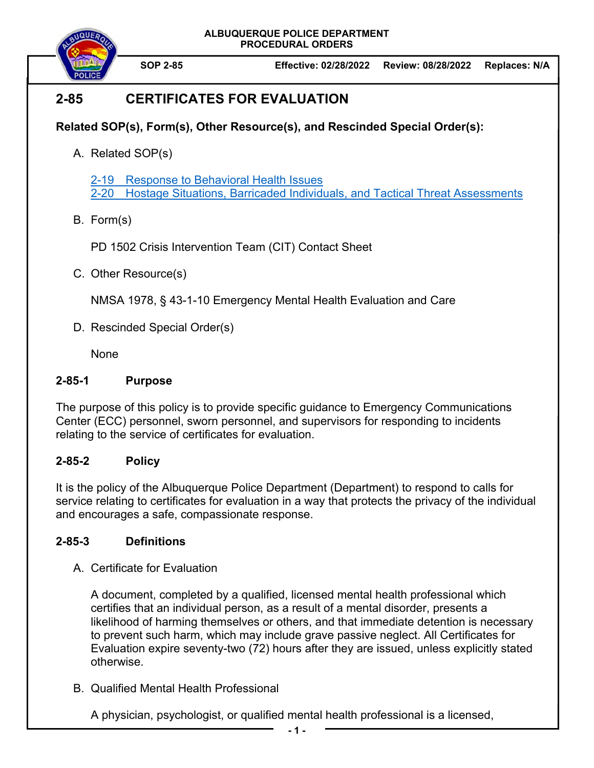**ALBUQUERQUE POLICE DEPARTMENT PROCEDURAL ORDERS** 



**SOP 2-85 Effective: 02/28/2022 Review: 08/28/2022 Replaces: N/A** 

# **2-85 CERTIFICATES FOR EVALUATION**

#### **Related SOP(s), Form(s), Other Resource(s), and Rescinded Special Order(s):**

A. Related SOP(s)

2-19 Response to Behavioral Health Issues 2-20 Hostage Situations, Barricaded Individuals, and Tactical Threat Assessments

B. Form(s)

PD 1502 Crisis Intervention Team (CIT) Contact Sheet

C. Other Resource(s)

NMSA 1978, § 43-1-10 Emergency Mental Health Evaluation and Care

D. Rescinded Special Order(s)

**None** 

#### **2-85-1 Purpose**

The purpose of this policy is to provide specific guidance to Emergency Communications Center (ECC) personnel, sworn personnel, and supervisors for responding to incidents relating to the service of certificates for evaluation.

## **2-85-2 Policy**

It is the policy of the Albuquerque Police Department (Department) to respond to calls for service relating to certificates for evaluation in a way that protects the privacy of the individual and encourages a safe, compassionate response.

#### **2-85-3 Definitions**

A. Certificate for Evaluation

A document, completed by a qualified, licensed mental health professional which certifies that an individual person, as a result of a mental disorder, presents a likelihood of harming themselves or others, and that immediate detention is necessary to prevent such harm, which may include grave passive neglect. All Certificates for Evaluation expire seventy-two (72) hours after they are issued, unless explicitly stated otherwise.

B. Qualified Mental Health Professional

A physician, psychologist, or qualified mental health professional is a licensed,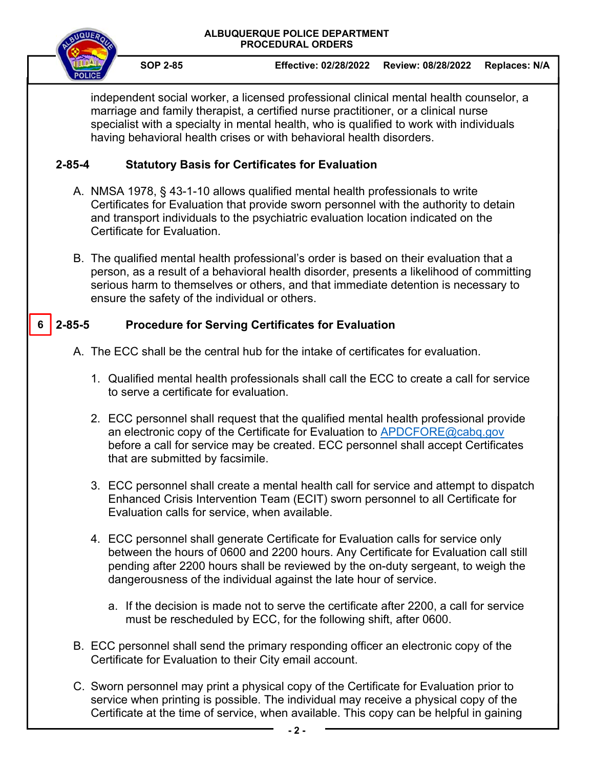#### **ALBUQUERQUE POLICE DEPARTMENT PROCEDURAL ORDERS**



**SOP 2-85 Effective: 02/28/2022 Review: 08/28/2022 Replaces: N/A** 

independent social worker, a licensed professional clinical mental health counselor, a marriage and family therapist, a certified nurse practitioner, or a clinical nurse specialist with a specialty in mental health, who is qualified to work with individuals having behavioral health crises or with behavioral health disorders.

## **2-85-4 Statutory Basis for Certificates for Evaluation**

- A. NMSA 1978, § 43-1-10 allows qualified mental health professionals to write Certificates for Evaluation that provide sworn personnel with the authority to detain and transport individuals to the psychiatric evaluation location indicated on the Certificate for Evaluation.
- B. The qualified mental health professional's order is based on their evaluation that a person, as a result of a behavioral health disorder, presents a likelihood of committing serious harm to themselves or others, and that immediate detention is necessary to ensure the safety of the individual or others.

#### **2-85-5 Procedure for Serving Certificates for Evaluation 6**

- A. The ECC shall be the central hub for the intake of certificates for evaluation.
	- 1. Qualified mental health professionals shall call the ECC to create a call for service to serve a certificate for evaluation.
	- 2. ECC personnel shall request that the qualified mental health professional provide an electronic copy of the Certificate for Evaluation to APDCFORE@cabq.gov before a call for service may be created. ECC personnel shall accept Certificates that are submitted by facsimile.
	- 3. ECC personnel shall create a mental health call for service and attempt to dispatch Enhanced Crisis Intervention Team (ECIT) sworn personnel to all Certificate for Evaluation calls for service, when available.
	- 4. ECC personnel shall generate Certificate for Evaluation calls for service only between the hours of 0600 and 2200 hours. Any Certificate for Evaluation call still pending after 2200 hours shall be reviewed by the on-duty sergeant, to weigh the dangerousness of the individual against the late hour of service.
		- a. If the decision is made not to serve the certificate after 2200, a call for service must be rescheduled by ECC, for the following shift, after 0600.
- B. ECC personnel shall send the primary responding officer an electronic copy of the Certificate for Evaluation to their City email account.
- C. Sworn personnel may print a physical copy of the Certificate for Evaluation prior to service when printing is possible. The individual may receive a physical copy of the Certificate at the time of service, when available. This copy can be helpful in gaining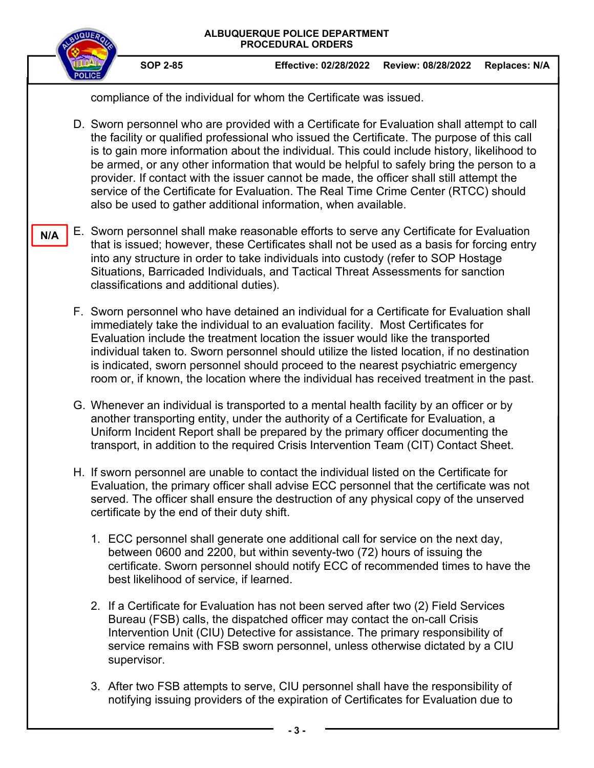